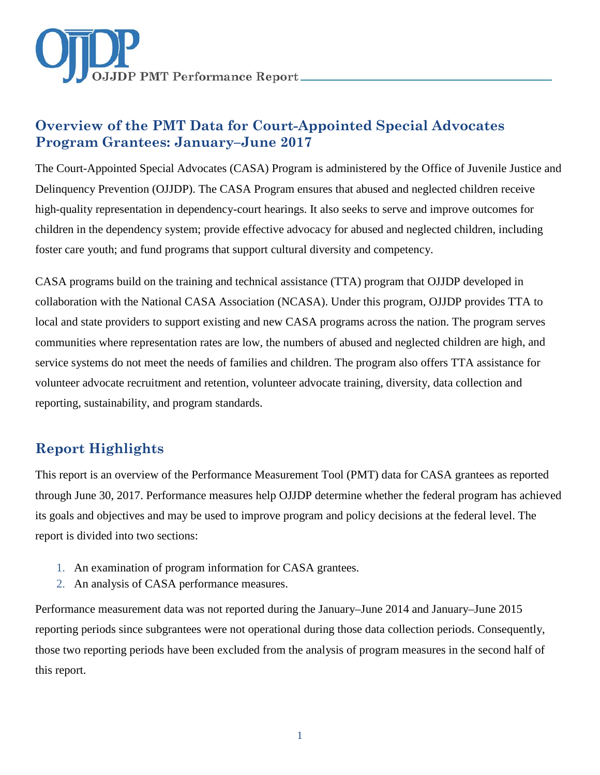

# **Overview of the PMT Data for Court-Appointed Special Advocates Program Grantees: January–June 2017**

The Court-Appointed Special Advocates (CASA) Program is administered by the Office of Juvenile Justice and Delinquency Prevention (OJJDP). The CASA Program ensures that abused and neglected children receive high-quality representation in dependency-court hearings. It also seeks to serve and improve outcomes for children in the dependency system; provide effective advocacy for abused and neglected children, including foster care youth; and fund programs that support cultural diversity and competency.

CASA programs build on the training and technical assistance (TTA) program that OJJDP developed in collaboration with the National CASA Association (NCASA). Under this program, OJJDP provides TTA to local and state providers to support existing and new CASA programs across the nation. The program serves communities where representation rates are low, the numbers of abused and neglected children are high, and service systems do not meet the needs of families and children. The program also offers TTA assistance for volunteer advocate recruitment and retention, volunteer advocate training, diversity, data collection and reporting, sustainability, and program standards.

# **Report Highlights**

This report is an overview of the Performance Measurement Tool (PMT) data for CASA grantees as reported through June 30, 2017. Performance measures help OJJDP determine whether the federal program has achieved its goals and objectives and may be used to improve program and policy decisions at the federal level. The report is divided into two sections:

- 1. An examination of program information for CASA grantees.
- 2. An analysis of CASA performance measures.

Performance measurement data was not reported during the January–June 2014 and January–June 2015 reporting periods since subgrantees were not operational during those data collection periods. Consequently, those two reporting periods have been excluded from the analysis of program measures in the second half of this report.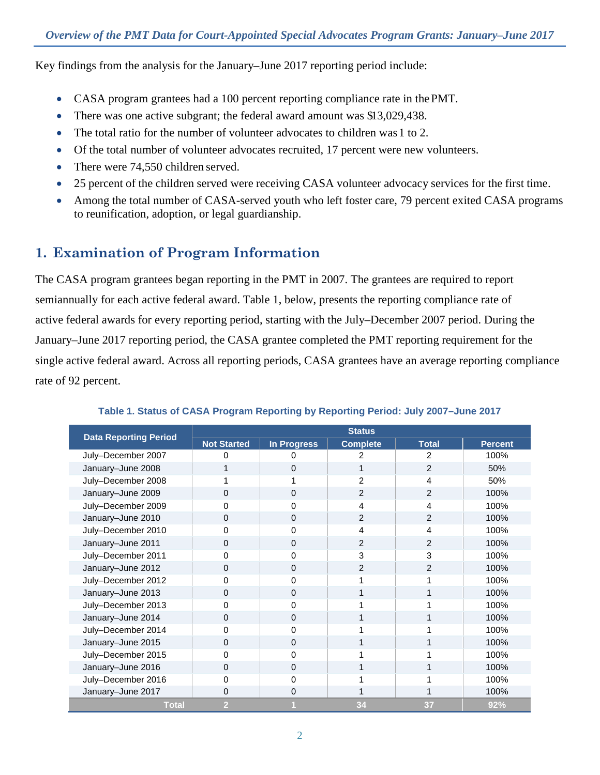Key findings from the analysis for the January–June 2017 reporting period include:

- CASA program grantees had a 100 percent reporting compliance rate in the PMT.
- There was one active subgrant; the federal award amount was \$13,029,438.
- The total ratio for the number of volunteer advocates to children was 1 to 2.
- Of the total number of volunteer advocates recruited, 17 percent were new volunteers.
- There were 74,550 children served.
- 25 percent of the children served were receiving CASA volunteer advocacy services for the first time.
- Among the total number of CASA-served youth who left foster care, 79 percent exited CASA programs to reunification, adoption, or legal guardianship.

# **1. Examination of Program Information**

The CASA program grantees began reporting in the PMT in 2007. The grantees are required to report semiannually for each active federal award. Table 1, below, presents the reporting compliance rate of active federal awards for every reporting period, starting with the July–December 2007 period. During the January–June 2017 reporting period, the CASA grantee completed the PMT reporting requirement for the single active federal award. Across all reporting periods, CASA grantees have an average reporting compliance rate of 92 percent.

| <b>Data Reporting Period</b> | <b>Status</b>      |                    |                 |                |                |
|------------------------------|--------------------|--------------------|-----------------|----------------|----------------|
|                              | <b>Not Started</b> | <b>In Progress</b> | <b>Complete</b> | <b>Total</b>   | <b>Percent</b> |
| July-December 2007           |                    |                    |                 | 2              | 100%           |
| January-June 2008            |                    | 0                  |                 | $\overline{2}$ | 50%            |
| July-December 2008           |                    |                    | $\mathfrak{p}$  | 4              | 50%            |
| January-June 2009            | $\Omega$           | $\mathbf{0}$       | $\overline{2}$  | 2              | 100%           |
| July-December 2009           | 0                  | 0                  | 4               | 4              | 100%           |
| January-June 2010            | 0                  | 0                  | $\overline{2}$  | $\overline{2}$ | 100%           |
| July-December 2010           | 0                  | 0                  | 4               | 4              | 100%           |
| January-June 2011            | 0                  | $\mathbf 0$        | 2               | 2              | 100%           |
| July-December 2011           | 0                  | 0                  | 3               | 3              | 100%           |
| January-June 2012            | 0                  | $\mathbf 0$        | 2               | 2              | 100%           |
| July-December 2012           | 0                  | 0                  |                 |                | 100%           |
| January-June 2013            | $\Omega$           | $\Omega$           |                 |                | 100%           |
| July-December 2013           | 0                  | 0                  |                 |                | 100%           |
| January-June 2014            | $\Omega$           | 0                  |                 |                | 100%           |
| July-December 2014           | 0                  | 0                  |                 |                | 100%           |
| January-June 2015            | 0                  | 0                  |                 |                | 100%           |
| July-December 2015           | 0                  | 0                  |                 |                | 100%           |
| January-June 2016            | $\Omega$           | $\mathbf 0$        |                 |                | 100%           |
| July-December 2016           | 0                  | 0                  |                 |                | 100%           |
| January-June 2017            | 0                  | 0                  |                 |                | 100%           |
| <b>Total</b>                 | $\overline{2}$     |                    | 34              | 37             | 92%            |

## **Table 1. Status of CASA Program Reporting by Reporting Period: July 2007–June 2017**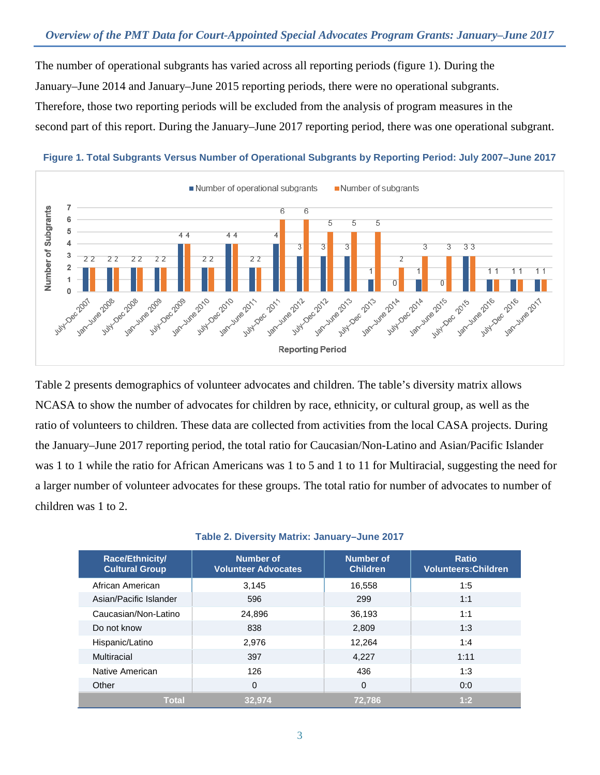The number of operational subgrants has varied across all reporting periods (figure 1). During the January–June 2014 and January–June 2015 reporting periods, there were no operational subgrants. Therefore, those two reporting periods will be excluded from the analysis of program measures in the second part of this report. During the January–June 2017 reporting period, there was one operational subgrant.



### **Figure 1. Total Subgrants Versus Number of Operational Subgrants by Reporting Period: July 2007–June 2017**

Table 2 presents demographics of volunteer advocates and children. The table's diversity matrix allows NCASA to show the number of advocates for children by race, ethnicity, or cultural group, as well as the ratio of volunteers to children. These data are collected from activities from the local CASA projects. During the January–June 2017 reporting period, the total ratio for Caucasian/Non-Latino and Asian/Pacific Islander was 1 to 1 while the ratio for African Americans was 1 to 5 and 1 to 11 for Multiracial, suggesting the need for a larger number of volunteer advocates for these groups. The total ratio for number of advocates to number of children was 1 to 2.

#### **Table 2. Diversity Matrix: January–June 2017**

| <b>Race/Ethnicity/</b><br><b>Cultural Group</b> | <b>Number of</b><br><b>Volunteer Advocates</b> | <b>Number of</b><br><b>Children</b> | <b>Ratio</b><br><b>Volunteers: Children</b> |
|-------------------------------------------------|------------------------------------------------|-------------------------------------|---------------------------------------------|
| African American                                | 3,145                                          | 16,558                              | 1:5                                         |
| Asian/Pacific Islander                          | 596                                            | 299                                 | 1:1                                         |
| Caucasian/Non-Latino                            | 24,896                                         | 36,193                              | 1:1                                         |
| Do not know                                     | 838                                            | 2,809                               | 1:3                                         |
| Hispanic/Latino                                 | 2,976                                          | 12,264                              | 1:4                                         |
| Multiracial                                     | 397                                            | 4,227                               | 1:11                                        |
| Native American                                 | 126                                            | 436                                 | 1:3                                         |
| Other                                           | $\Omega$                                       | 0                                   | 0:0                                         |
| <b>Total</b>                                    | 32.974                                         | 72.786                              | 1:2                                         |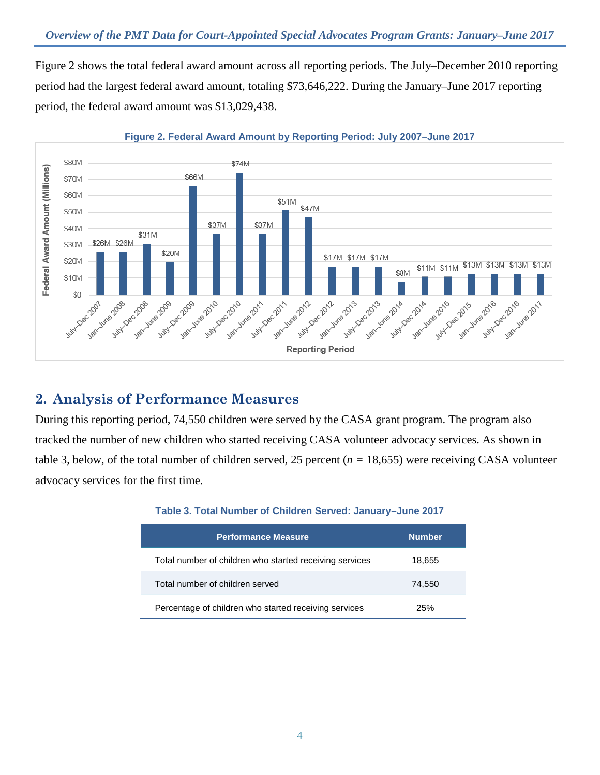Figure 2 shows the total federal award amount across all reporting periods. The July–December 2010 reporting period had the largest federal award amount, totaling \$73,646,222. During the January–June 2017 reporting period, the federal award amount was \$13,029,438.



### **Figure 2. Federal Award Amount by Reporting Period: July 2007–June 2017**

## **2. Analysis of Performance Measures**

During this reporting period, 74,550 children were served by the CASA grant program. The program also tracked the number of new children who started receiving CASA volunteer advocacy services. As shown in table 3, below, of the total number of children served, 25 percent (*n =* 18,655) were receiving CASA volunteer advocacy services for the first time.

| <b>Performance Measure</b>                              | <b>Number</b> |
|---------------------------------------------------------|---------------|
| Total number of children who started receiving services | 18,655        |
| Total number of children served                         | 74,550        |
| Percentage of children who started receiving services   | 25%           |

### **Table 3. Total Number of Children Served: January–June 2017**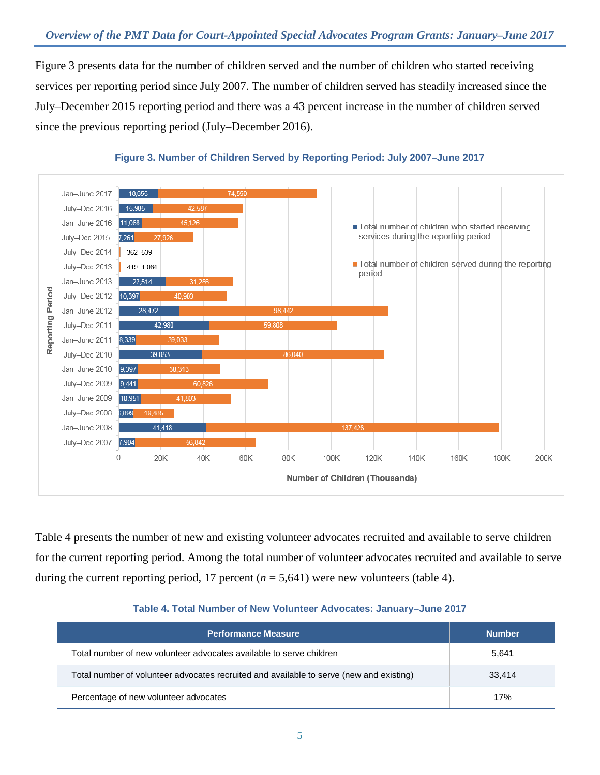Figure 3 presents data for the number of children served and the number of children who started receiving services per reporting period since July 2007. The number of children served has steadily increased since the July–December 2015 reporting period and there was a 43 percent increase in the number of children served since the previous reporting period (July–December 2016).



### **Figure 3. Number of Children Served by Reporting Period: July 2007–June 2017**

Table 4 presents the number of new and existing volunteer advocates recruited and available to serve children for the current reporting period. Among the total number of volunteer advocates recruited and available to serve during the current reporting period, 17 percent  $(n = 5,641)$  were new volunteers (table 4).

### **Table 4. Total Number of New Volunteer Advocates: January–June 2017**

| <b>Performance Measure</b>                                                              | <b>Number</b> |
|-----------------------------------------------------------------------------------------|---------------|
| Total number of new volunteer advocates available to serve children                     | 5,641         |
| Total number of volunteer advocates recruited and available to serve (new and existing) | 33.414        |
| Percentage of new volunteer advocates                                                   | 17%           |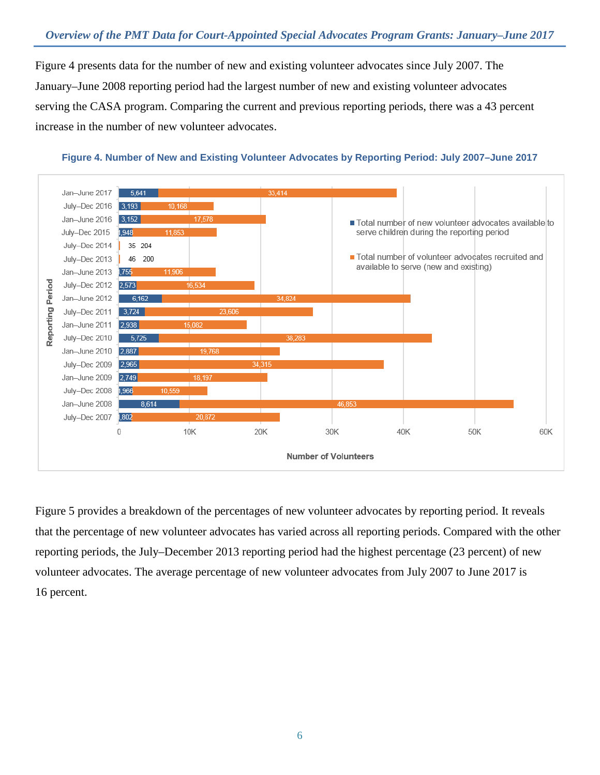Figure 4 presents data for the number of new and existing volunteer advocates since July 2007. The January–June 2008 reporting period had the largest number of new and existing volunteer advocates serving the CASA program. Comparing the current and previous reporting periods, there was a 43 percent increase in the number of new volunteer advocates.



**Figure 4. Number of New and Existing Volunteer Advocates by Reporting Period: July 2007–June 2017**

Figure 5 provides a breakdown of the percentages of new volunteer advocates by reporting period. It reveals that the percentage of new volunteer advocates has varied across all reporting periods. Compared with the other reporting periods, the July–December 2013 reporting period had the highest percentage (23 percent) of new volunteer advocates. The average percentage of new volunteer advocates from July 2007 to June 2017 is 16 percent.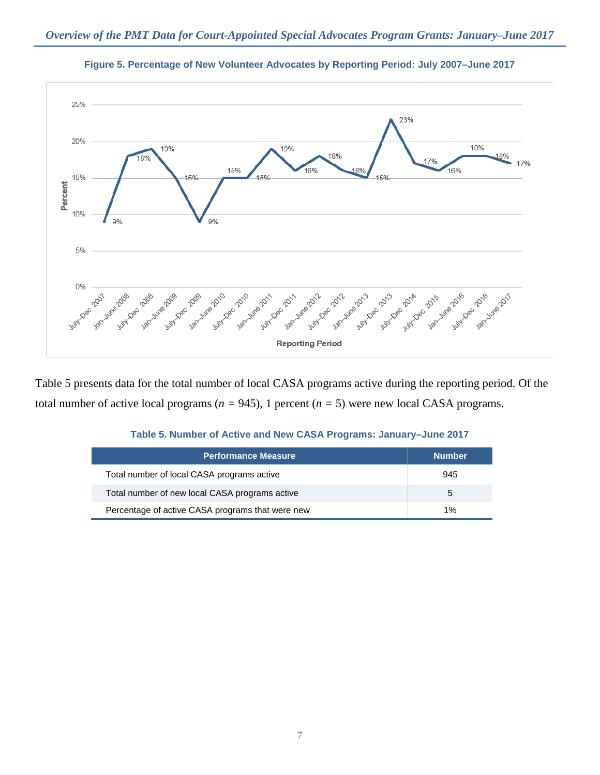



Table 5 presents data for the total number of local CASA programs active during the reporting period. Of the total number of active local programs ( $n = 945$ ), 1 percent ( $n = 5$ ) were new local CASA programs.

| <b>Performance Measure</b>                       | <b>Number</b> |
|--------------------------------------------------|---------------|
| Total number of local CASA programs active       | 945           |
| Total number of new local CASA programs active   | 5             |
| Percentage of active CASA programs that were new | $1\%$         |

| Table 5. Number of Active and New CASA Programs: January-June 2017 |  |  |  |  |
|--------------------------------------------------------------------|--|--|--|--|
|                                                                    |  |  |  |  |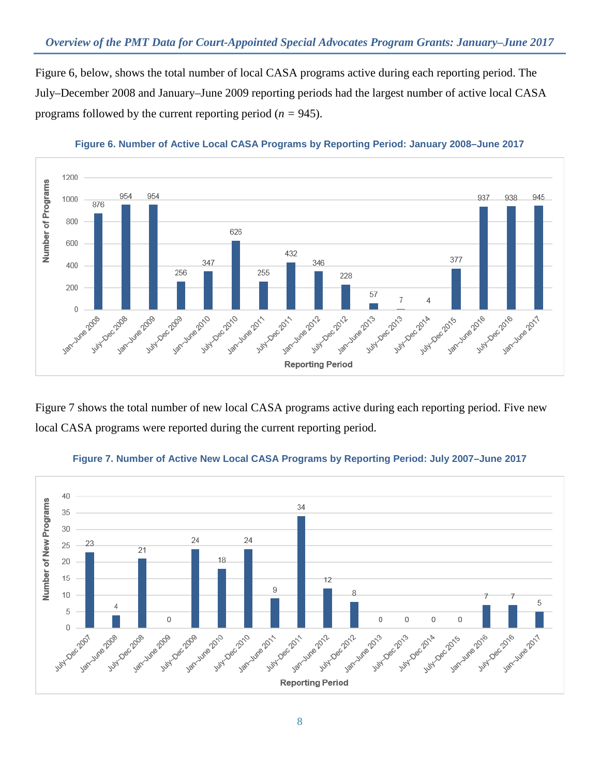Figure 6, below, shows the total number of local CASA programs active during each reporting period. The July–December 2008 and January–June 2009 reporting periods had the largest number of active local CASA programs followed by the current reporting period (*n =* 945).



**Figure 6. Number of Active Local CASA Programs by Reporting Period: January 2008–June 2017**

Figure 7 shows the total number of new local CASA programs active during each reporting period. Five new local CASA programs were reported during the current reporting period.



**Figure 7. Number of Active New Local CASA Programs by Reporting Period: July 2007–June 2017**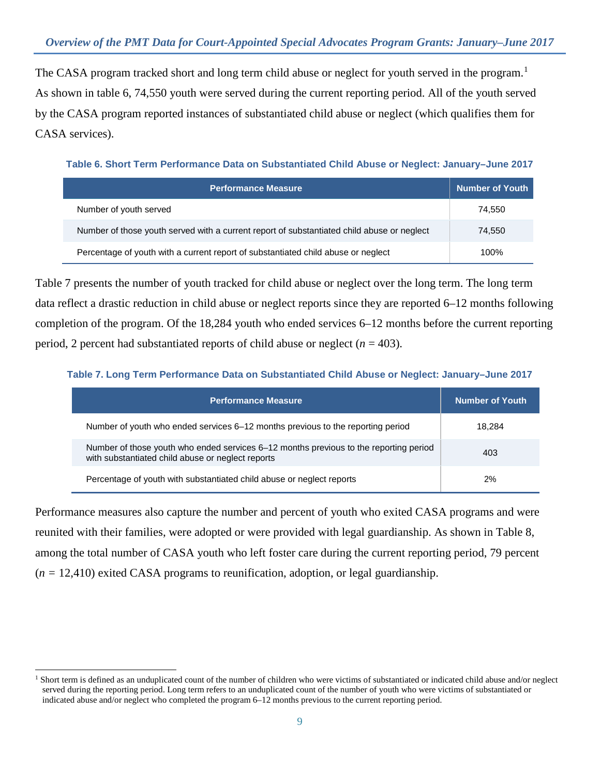The CASA program tracked short and long term child abuse or neglect for youth served in the program.<sup>[1](#page-8-0)</sup> As shown in table 6, 74,550 youth were served during the current reporting period. All of the youth served by the CASA program reported instances of substantiated child abuse or neglect (which qualifies them for CASA services).

**Table 6. Short Term Performance Data on Substantiated Child Abuse or Neglect: January–June 2017**

| <b>Performance Measure</b>                                                                 | <b>Number of Youth</b> |
|--------------------------------------------------------------------------------------------|------------------------|
| Number of youth served                                                                     | 74.550                 |
| Number of those youth served with a current report of substantiated child abuse or neglect | 74,550                 |
| Percentage of youth with a current report of substantiated child abuse or neglect          | 100%                   |

Table 7 presents the number of youth tracked for child abuse or neglect over the long term. The long term data reflect a drastic reduction in child abuse or neglect reports since they are reported 6–12 months following completion of the program. Of the 18,284 youth who ended services 6–12 months before the current reporting period, 2 percent had substantiated reports of child abuse or neglect (*n* = 403).

**Table 7. Long Term Performance Data on Substantiated Child Abuse or Neglect: January–June 2017**

| <b>Performance Measure</b>                                                                                                                 | <b>Number of Youth</b> |
|--------------------------------------------------------------------------------------------------------------------------------------------|------------------------|
| Number of youth who ended services 6–12 months previous to the reporting period                                                            | 18.284                 |
| Number of those youth who ended services 6–12 months previous to the reporting period<br>with substantiated child abuse or neglect reports | 403                    |
| Percentage of youth with substantiated child abuse or neglect reports                                                                      | 2%                     |

Performance measures also capture the number and percent of youth who exited CASA programs and were reunited with their families, were adopted or were provided with legal guardianship. As shown in Table 8, among the total number of CASA youth who left foster care during the current reporting period, 79 percent (*n =* 12,410) exited CASA programs to reunification, adoption, or legal guardianship.

<span id="page-8-0"></span> $\overline{a}$ <sup>1</sup> Short term is defined as an unduplicated count of the number of children who were victims of substantiated or indicated child abuse and/or neglect served during the reporting period. Long term refers to an unduplicated count of the number of youth who were victims of substantiated or indicated abuse and/or neglect who completed the program 6–12 months previous to the current reporting period.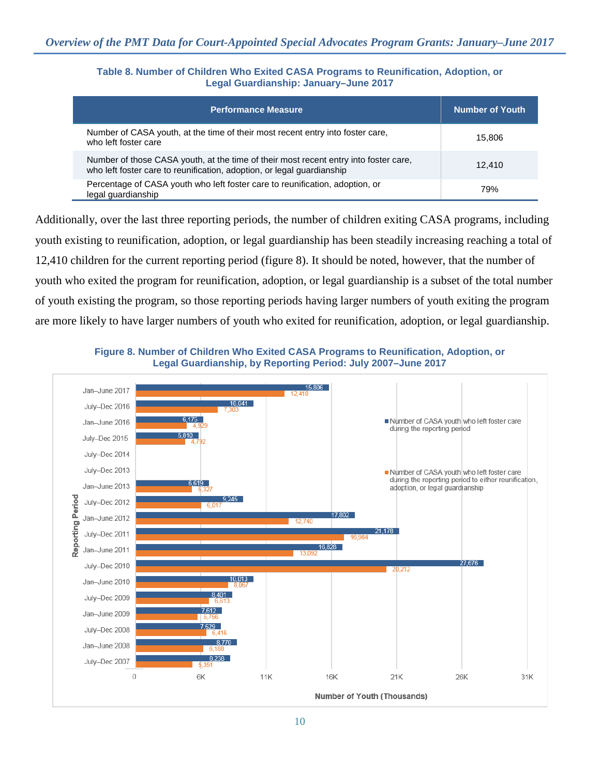### **Table 8. Number of Children Who Exited CASA Programs to Reunification, Adoption, or Legal Guardianship: January–June 2017**

| <b>Performance Measure</b>                                                                                                                                     | <b>Number of Youth</b> |
|----------------------------------------------------------------------------------------------------------------------------------------------------------------|------------------------|
| Number of CASA youth, at the time of their most recent entry into foster care,<br>who left foster care                                                         | 15.806                 |
| Number of those CASA youth, at the time of their most recent entry into foster care,<br>who left foster care to reunification, adoption, or legal guardianship | 12.410                 |
| Percentage of CASA youth who left foster care to reunification, adoption, or<br>legal guardianship                                                             | 79%                    |

Additionally, over the last three reporting periods, the number of children exiting CASA programs, including youth existing to reunification, adoption, or legal guardianship has been steadily increasing reaching a total of 12,410 children for the current reporting period (figure 8). It should be noted, however, that the number of youth who exited the program for reunification, adoption, or legal guardianship is a subset of the total number of youth existing the program, so those reporting periods having larger numbers of youth exiting the program are more likely to have larger numbers of youth who exited for reunification, adoption, or legal guardianship.



**Figure 8. Number of Children Who Exited CASA Programs to Reunification, Adoption, or Legal Guardianship, by Reporting Period: July 2007–June 2017**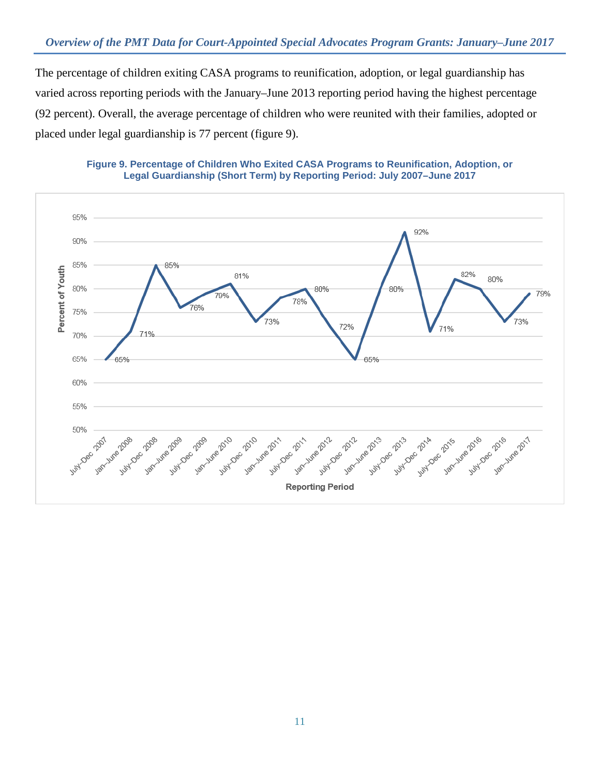The percentage of children exiting CASA programs to reunification, adoption, or legal guardianship has varied across reporting periods with the January–June 2013 reporting period having the highest percentage (92 percent). Overall, the average percentage of children who were reunited with their families, adopted or placed under legal guardianship is 77 percent (figure 9).



### **Figure 9. Percentage of Children Who Exited CASA Programs to Reunification, Adoption, or Legal Guardianship (Short Term) by Reporting Period: July 2007–June 2017**